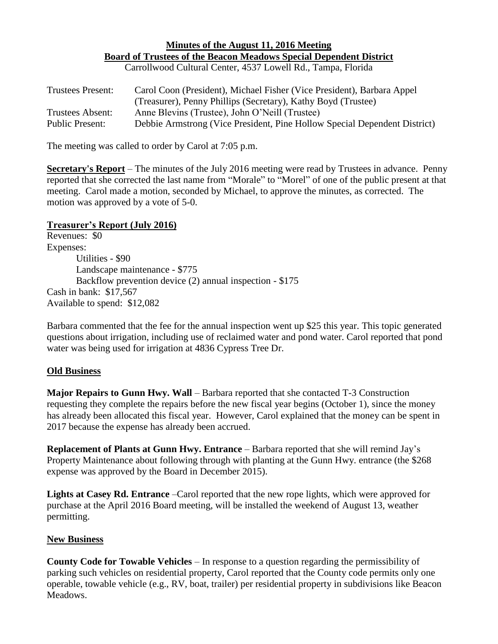## **Minutes of the August 11, 2016 Meeting Board of Trustees of the Beacon Meadows Special Dependent District** Carrollwood Cultural Center, 4537 Lowell Rd., Tampa, Florida

| <b>Trustees Present:</b> | Carol Coon (President), Michael Fisher (Vice President), Barbara Appel    |
|--------------------------|---------------------------------------------------------------------------|
|                          | (Treasurer), Penny Phillips (Secretary), Kathy Boyd (Trustee)             |
| Trustees Absent:         | Anne Blevins (Trustee), John O'Neill (Trustee)                            |
| <b>Public Present:</b>   | Debbie Armstrong (Vice President, Pine Hollow Special Dependent District) |

The meeting was called to order by Carol at 7:05 p.m.

**Secretary's Report** – The minutes of the July 2016 meeting were read by Trustees in advance. Penny reported that she corrected the last name from "Morale" to "Morel" of one of the public present at that meeting. Carol made a motion, seconded by Michael, to approve the minutes, as corrected. The motion was approved by a vote of 5-0.

## **Treasurer's Report (July 2016)**

Revenues: \$0 Expenses: Utilities - \$90 Landscape maintenance - \$775 Backflow prevention device (2) annual inspection - \$175 Cash in bank: \$17,567 Available to spend: \$12,082

Barbara commented that the fee for the annual inspection went up \$25 this year. This topic generated questions about irrigation, including use of reclaimed water and pond water. Carol reported that pond water was being used for irrigation at 4836 Cypress Tree Dr.

## **Old Business**

**Major Repairs to Gunn Hwy. Wall** – Barbara reported that she contacted T-3 Construction requesting they complete the repairs before the new fiscal year begins (October 1), since the money has already been allocated this fiscal year. However, Carol explained that the money can be spent in 2017 because the expense has already been accrued.

**Replacement of Plants at Gunn Hwy. Entrance** – Barbara reported that she will remind Jay's Property Maintenance about following through with planting at the Gunn Hwy. entrance (the \$268 expense was approved by the Board in December 2015).

**Lights at Casey Rd. Entrance** –Carol reported that the new rope lights, which were approved for purchase at the April 2016 Board meeting, will be installed the weekend of August 13, weather permitting.

## **New Business**

**County Code for Towable Vehicles** – In response to a question regarding the permissibility of parking such vehicles on residential property, Carol reported that the County code permits only one operable, towable vehicle (e.g., RV, boat, trailer) per residential property in subdivisions like Beacon Meadows.